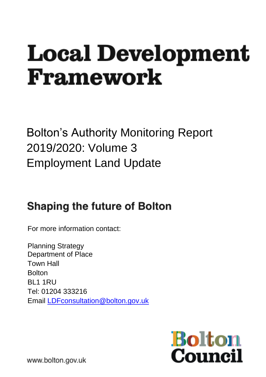# **Local Development** Framework

Bolton's Authority Monitoring Report 2019/2020: Volume 3 Employment Land Update

# **Shaping the future of Bolton**

For more information contact:

Planning Strategy Department of Place Town Hall Bolton BL1 1RU Tel: 01204 333216 Email [LDFconsultation@bolton.gov.uk](mailto:LDFconsultation@bolton.gov.uk)



www.bolton.gov.uk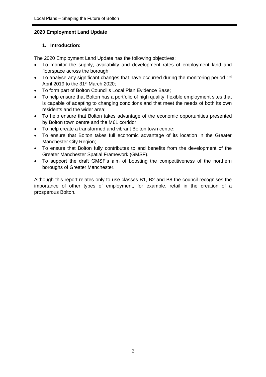#### **2020 Employment Land Update**

#### **1. Introduction:**

The 2020 Employment Land Update has the following objectives:

- To monitor the supply, availability and development rates of employment land and floorspace across the borough;
- To analyse any significant changes that have occurred during the monitoring period  $1<sup>st</sup>$ April 2019 to the  $31<sup>st</sup>$  March 2020;
- To form part of Bolton Council's Local Plan Evidence Base;
- To help ensure that Bolton has a portfolio of high quality, flexible employment sites that is capable of adapting to changing conditions and that meet the needs of both its own residents and the wider area;
- To help ensure that Bolton takes advantage of the economic opportunities presented by Bolton town centre and the M61 corridor;
- To help create a transformed and vibrant Bolton town centre;
- To ensure that Bolton takes full economic advantage of its location in the Greater Manchester City Region;
- To ensure that Bolton fully contributes to and benefits from the development of the Greater Manchester Spatial Framework (GMSF).
- To support the draft GMSF's aim of boosting the competitiveness of the northern boroughs of Greater Manchester.

Although this report relates only to use classes B1, B2 and B8 the council recognises the importance of other types of employment, for example, retail in the creation of a prosperous Bolton.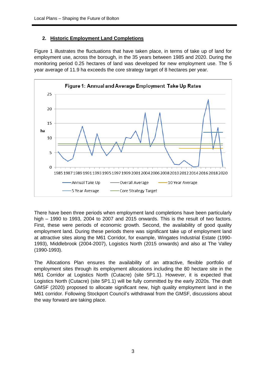# **2. Historic Employment Land Completions**

Figure 1 illustrates the fluctuations that have taken place, in terms of take up of land for employment use, across the borough, in the 35 years between 1985 and 2020. During the monitoring period 0.25 hectares of land was developed for new employment use. The 5 year average of 11.9 ha exceeds the core strategy target of 8 hectares per year.



There have been three periods when employment land completions have been particularly high – 1990 to 1993, 2004 to 2007 and 2015 onwards. This is the result of two factors. First, these were periods of economic growth. Second, the availability of good quality employment land. During these periods there was significant take up of employment land at attractive sites along the M61 Corridor, for example, Wingates Industrial Estate (1990- 1993), Middlebrook (2004-2007), Logistics North (2015 onwards) and also at The Valley (1990-1993).

The Allocations Plan ensures the availability of an attractive, flexible portfolio of employment sites through its employment allocations including the 80 hectare site in the M61 Corridor at Logistics North (Cutacre) (site 5P1.1). However, it is expected that Logistics North (Cutacre) (site 5P1.1) will be fully committed by the early 2020s. The draft GMSF (2020) proposed to allocate significant new, high quality employment land in the M61 corridor. Following Stockport Council's withdrawal from the GMSF, discussions about the way forward are taking place.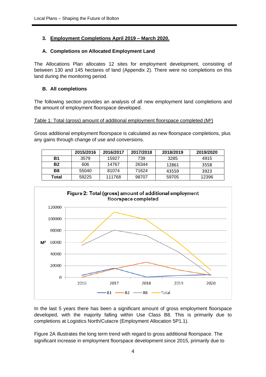# **3. Employment Completions April 2019 – March 2020.**

#### **A. Completions on Allocated Employment Land**

The Allocations Plan allocates 12 sites for employment development, consisting of between 130 and 145 hectares of land (Appendix 2). There were no completions on this land during the monitoring period.

#### **B. All completions**

The following section provides an analysis of all new employment land completions and the amount of employment floorspace developed.

#### Table 1: Total (gross) amount of additional employment floorspace completed (M²)

Gross additional employment floorspace is calculated as new floorspace completions, plus any gains through change of use and conversions.

|           | 2015/2016 | 2016/2017 | 2017/2018 | 2018/2019 | 2019/2020 |
|-----------|-----------|-----------|-----------|-----------|-----------|
| Β1        | 3579      | 15927     | 739       | 3285      | 4915      |
| <b>B2</b> | 606       | 14767     | 26344     | 12861     | 3558      |
| <b>B8</b> | 55040     | 81074     | 71624     | 43559     | 3923      |
| Total     | 59225     | 111768    | 98707     | 59705     | 12396     |



In the last 5 years there has been a significant amount of gross employment floorspace developed, with the majority falling within Use Class B8. This is primarily due to completions at Logistics North/Cutacre (Employment Allocation 5P1.1).

Figure 2A illustrates the long term trend with regard to gross additional floorspace. The significant increase in employment floorspace development since 2015, primarily due to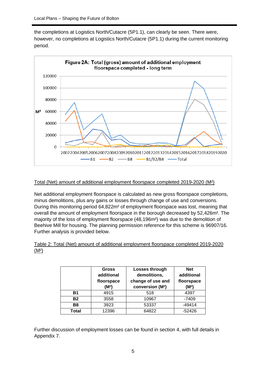the completions at Logistics North/Cutacre (5P1.1), can clearly be seen. There were, however, no completions at Logistics North/Cutacre (5P1.1) during the current monitoring period.



#### Total (Net) amount of additional employment floorspace completed 2019-2020 (M²)

Net additional employment floorspace is calculated as new gross floorspace completions, minus demolitions, plus any gains or losses through change of use and conversions. During this monitoring period 64,822m² of employment floorspace was lost, meaning that overall the amount of employment floorspace in the borough decreased by 52,426m². The majority of the loss of employment floorspace (48,196m²) was due to the demolition of Beehive Mill for housing. The planning permission reference for this scheme is 96907/16. Further analysis is provided below.

Table 2: Total (Net) amount of additional employment floorspace completed 2019-2020 (M²)

|       | <b>Gross</b><br>additional<br>floorspace<br>(M <sup>2</sup> ) | Losses through<br>demolitions,<br>change of use and<br>conversion (M <sup>2</sup> ) | <b>Net</b><br>additional<br>floorspace<br>(M <sup>2</sup> ) |
|-------|---------------------------------------------------------------|-------------------------------------------------------------------------------------|-------------------------------------------------------------|
| Β1    | 4915                                                          | 518                                                                                 | 4397                                                        |
| B2    | 3558                                                          | 10967                                                                               | $-7409$                                                     |
| B8    | 3923                                                          | 53337                                                                               | $-49414$                                                    |
| Total | 12396                                                         | 64822                                                                               | $-52426$                                                    |

Further discussion of employment losses can be found in section 4, with full details in Appendix 7.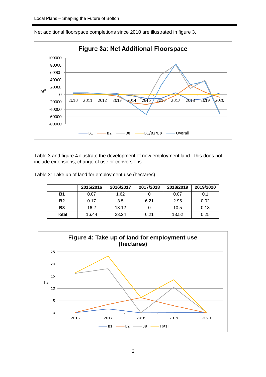

Net additional floorspace completions since 2010 are illustrated in figure 3.

Table 3 and figure 4 illustrate the development of new employment land. This does not include extensions, change of use or conversions.

| Table 3: Take up of land for employment use (hectares) |  |
|--------------------------------------------------------|--|
|--------------------------------------------------------|--|

|                | 2015/2016 | 2016/2017 | 2017/2018 | 2018/2019 | 2019/2020 |
|----------------|-----------|-----------|-----------|-----------|-----------|
| <b>B1</b>      | 0.07      | 1.62      |           | 0.07      | 0.1       |
| <b>B2</b>      | 0.17      | 3.5       | 6.21      | 2.95      | 0.02      |
| B <sub>8</sub> | 16.2      | 18.12     |           | 10.5      | 0.13      |
| Total          | 16.44     | 23.24     | 6.21      | 13.52     | 0.25      |

![](_page_5_Figure_6.jpeg)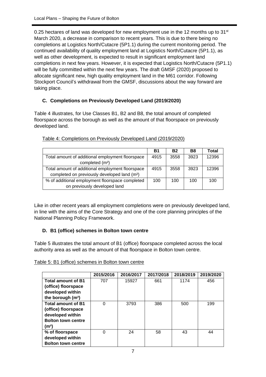0.25 hectares of land was developed for new employment use in the 12 months up to  $31<sup>st</sup>$ March 2020, a decrease in comparison to recent years. This is due to there being no completions at Logistics North/Cutacre (5P1.1) during the current monitoring period. The continued availability of quality employment land at Logistics North/Cutacre (5P1.1), as well as other development, is expected to result in significant employment land completions in next few years. However, it is expected that Logistics North/Cutacre (5P1.1) will be fully committed within the next few years. The draft GMSF (2020) proposed to allocate significant new, high quality employment land in the M61 corridor. Following Stockport Council's withdrawal from the GMSF, discussions about the way forward are taking place.

# **C. Completions on Previously Developed Land (2019/2020)**

Table 4 illustrates, for Use Classes B1, B2 and B8, the total amount of completed floorspace across the borough as well as the amount of that floorspace on previously developed land.

|                                                          | <b>B1</b> | <b>B2</b> | B8   | Total |
|----------------------------------------------------------|-----------|-----------|------|-------|
| Total amount of additional employment floorspace         | 4915      | 3558      | 3923 | 12396 |
| completed (m <sup>2</sup> )                              |           |           |      |       |
| Total amount of additional employment floorspace         | 4915      | 3558      | 3923 | 12396 |
| completed on previously developed land (m <sup>2</sup> ) |           |           |      |       |
| % of additional employment floorspace completed          | 100       | 100       | 100  | 100   |
| on previously developed land                             |           |           |      |       |

# Table 4: Completions on Previously Developed Land (2019/2020)

Like in other recent years all employment completions were on previously developed land, in line with the aims of the Core Strategy and one of the core planning principles of the National Planning Policy Framework.

# **D. B1 (office) schemes in Bolton town centre**

Table 5 illustrates the total amount of B1 (office) floorspace completed across the local authority area as well as the amount of that floorspace in Bolton town centre.

| Table 5: B1 (office) schemes in Bolton town centre |  |  |  |  |
|----------------------------------------------------|--|--|--|--|
|----------------------------------------------------|--|--|--|--|

|                               | 2015/2016 | 2016/2017 | 2017/2018 | 2018/2019 | 2019/2020 |
|-------------------------------|-----------|-----------|-----------|-----------|-----------|
| <b>Total amount of B1</b>     | 707       | 15927     | 661       | 1174      | 456       |
| (office) floorspace           |           |           |           |           |           |
| developed within              |           |           |           |           |           |
| the borough (m <sup>2</sup> ) |           |           |           |           |           |
| <b>Total amount of B1</b>     | O         | 3793      | 386       | 500       | 199       |
| (office) floorspace           |           |           |           |           |           |
| developed within              |           |           |           |           |           |
| <b>Bolton town centre</b>     |           |           |           |           |           |
| (m <sup>2</sup> )             |           |           |           |           |           |
| % of floorspace               | U         | 24        | 58        | 43        | 44        |
| developed within              |           |           |           |           |           |
| <b>Bolton town centre</b>     |           |           |           |           |           |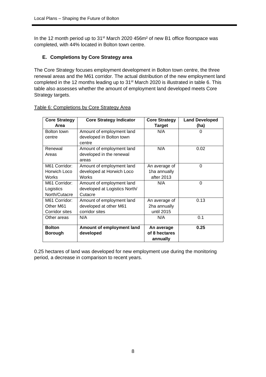In the 12 month period up to 31<sup>st</sup> March 2020 456m<sup>2</sup> of new B1 office floorspace was completed, with 44% located in Bolton town centre.

#### **E. Completions by Core Strategy area**

The Core Strategy focuses employment development in Bolton town centre, the three renewal areas and the M61 corridor. The actual distribution of the new employment land completed in the 12 months leading up to 31<sup>st</sup> March 2020 is illustrated in table 6. This table also assesses whether the amount of employment land developed meets Core Strategy targets.

| <b>Core Strategy</b><br>Area                  | <b>Core Strategy Indicator</b>                                         | <b>Core Strategy</b><br><b>Target</b>       | <b>Land Developed</b><br>(ha) |
|-----------------------------------------------|------------------------------------------------------------------------|---------------------------------------------|-------------------------------|
| Bolton town<br>centre                         | Amount of employment land<br>developed in Bolton town<br>centre        | N/A                                         | 0                             |
| Renewal<br>Areas                              | Amount of employment land<br>developed in the renewal<br>areas         | N/A                                         | 0.02                          |
| M61 Corridor:<br>Horwich Loco<br><b>Works</b> | Amount of employment land<br>developed at Horwich Loco<br><b>Works</b> | An average of<br>1ha annually<br>after 2013 | 0                             |
| M61 Corridor:<br>Logistics<br>North/Cutacre   | Amount of employment land<br>developed at Logistics North/<br>Cutacre  | N/A                                         | $\Omega$                      |
| M61 Corridor:<br>Other M61<br>Corridor sites  | Amount of employment land<br>developed at other M61<br>corridor sites  | An average of<br>2ha annually<br>until 2015 | 0.13                          |
| Other areas                                   | N/A                                                                    | N/A                                         | 0.1                           |
| <b>Bolton</b><br><b>Borough</b>               | Amount of employment land<br>developed                                 | An average<br>of 8 hectares<br>annually     | 0.25                          |

#### Table 6: Completions by Core Strategy Area

0.25 hectares of land was developed for new employment use during the monitoring period, a decrease in comparison to recent years.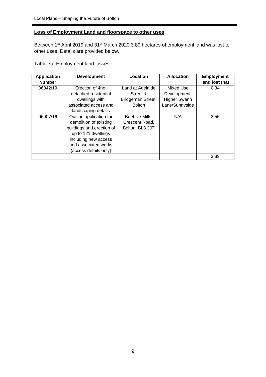#### **Loss of Employment Land and floorspace to other uses**

Between 1<sup>st</sup> April 2019 and 31<sup>st</sup> March 2020 3.89 hectares of employment land was lost to other uses. Details are provided below.

## Table 7a: Employment land losses

| <b>Application</b> | <b>Development</b>        | Location          | <b>Allocation</b>   | <b>Employment</b> |
|--------------------|---------------------------|-------------------|---------------------|-------------------|
| <b>Number</b>      |                           |                   |                     | land lost (ha)    |
| 06042/19           | Erection of 4no.          | Land at Adelaide  | Mixed Use           | 0.34              |
|                    | detached residential      | Street &          | Development:        |                   |
|                    | dwellings with            | Bridgeman Street, | <b>Higher Swann</b> |                   |
|                    | associated access and     | <b>Bolton</b>     | Lane/Sunnyside      |                   |
|                    | landscaping details       |                   |                     |                   |
| 96907/16           | Outline application for   | Beehive Mills,    | N/A                 | 3.55              |
|                    | demolition of existing    | Crescent Road,    |                     |                   |
|                    | buildings and erection of | Bolton, BL3 2JT   |                     |                   |
|                    | up to 121 dwellings       |                   |                     |                   |
|                    | including new access      |                   |                     |                   |
|                    | and associated works      |                   |                     |                   |
|                    | (access details only)     |                   |                     |                   |
|                    |                           |                   |                     | 3.89              |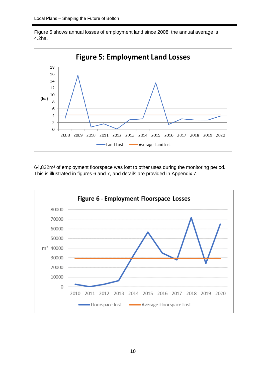![](_page_9_Figure_1.jpeg)

![](_page_9_Figure_2.jpeg)

64,822m² of employment floorspace was lost to other uses during the monitoring period. This is illustrated in figures 6 and 7, and details are provided in Appendix 7.

![](_page_9_Figure_4.jpeg)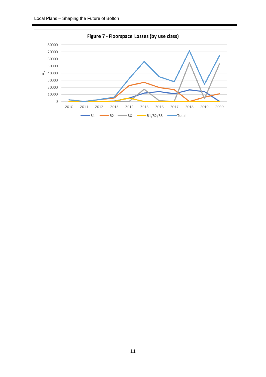![](_page_10_Figure_1.jpeg)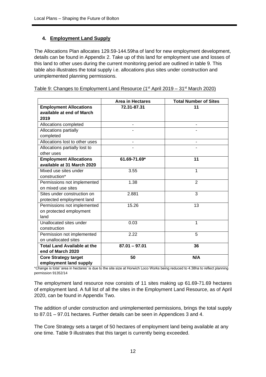# **4. Employment Land Supply**

The Allocations Plan allocates 129.59-144.59ha of land for new employment development, details can be found in Appendix 2. Take up of this land for employment use and losses of this land to other uses during the current monitoring period are outlined in table 9. This table also illustrates the total supply i.e. allocations plus sites under construction and unimplemented planning permissions.

| Table 9: Changes to Employment Land Resource (1 <sup>st</sup> April 2019 – 31 <sup>st</sup> March 2020) |
|---------------------------------------------------------------------------------------------------------|
|---------------------------------------------------------------------------------------------------------|

|                                    | <b>Area in Hectares</b> | <b>Total Number of Sites</b> |
|------------------------------------|-------------------------|------------------------------|
| <b>Employment Allocations</b>      | 72.31-87.31             | 11                           |
| available at end of March          |                         |                              |
| 2019                               |                         |                              |
| Allocations completed              |                         |                              |
| Allocations partially              |                         |                              |
| completed                          |                         |                              |
| Allocations lost to other uses     |                         |                              |
| Allocations partially lost to      |                         |                              |
| other uses                         |                         |                              |
| <b>Employment Allocations</b>      | 61.69-71.69*            | 11                           |
| available at 31 March 2020         |                         |                              |
| Mixed use sites under              | 3.55                    | 1                            |
| construction*                      |                         |                              |
| Permissions not implemented        | 1.38                    | $\overline{2}$               |
| on mixed use sites                 |                         |                              |
| Sites under construction on        | 2.881                   | 3                            |
| protected employment land          |                         |                              |
| Permissions not implemented        | 15.26                   | 13                           |
| on protected employment            |                         |                              |
| land                               |                         |                              |
| Unallocated sites under            | 0.03                    | 1                            |
| construction                       |                         |                              |
| Permission not implemented         | 2.22                    | 5                            |
| on unallocated sites               |                         |                              |
| <b>Total Land Available at the</b> | $87.01 - 97.01$         | 36                           |
| end of March 2020                  |                         |                              |
| <b>Core Strategy target</b>        | 50                      | N/A                          |
| employment land supply             |                         |                              |

\*Change is total 'area in hectares' is due to the site size at Horwich Loco Works being reduced to 4.38ha to reflect planning permission 91352/14

The employment land resource now consists of 11 sites making up 61.69-71.69 hectares of employment land. A full list of all the sites in the Employment Land Resource, as of April 2020, can be found in Appendix Two.

The addition of under construction and unimplemented permissions, brings the total supply to 87.01 – 97.01 hectares. Further details can be seen in Appendices 3 and 4.

The Core Strategy sets a target of 50 hectares of employment land being available at any one time. Table 9 illustrates that this target is currently being exceeded.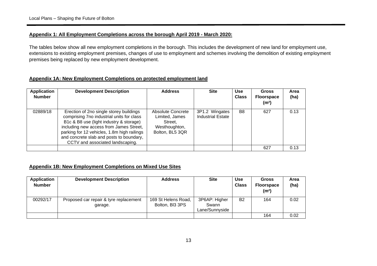#### **Appendix 1: All Employment Completions across the borough April 2019 - March 2020:**

The tables below show all new employment completions in the borough. This includes the development of new land for employment use, extensions to existing employment premises, changes of use to employment and schemes involving the demolition of existing employment premises being replaced by new employment development.

#### **Appendix 1A: New Employment Completions on protected employment land**

| <b>Application</b><br><b>Number</b> | <b>Development Description</b>                                                                                                                                                                                                                                                                            | <b>Address</b>                                                                     | <b>Site</b>                                | <b>Use</b><br><b>Class</b> | <b>Gross</b><br><b>Floorspace</b><br>(m <sup>2</sup> ) | Area<br>(ha) |
|-------------------------------------|-----------------------------------------------------------------------------------------------------------------------------------------------------------------------------------------------------------------------------------------------------------------------------------------------------------|------------------------------------------------------------------------------------|--------------------------------------------|----------------------------|--------------------------------------------------------|--------------|
| 02889/18                            | Erection of 2no single storey buildings<br>comprising 7no industrial units for class<br>B1c & B8 use (light industry & storage)<br>including new access from James Street,<br>parking for 12 vehicles, 1.8m high railings<br>and concrete slab and posts to boundary,<br>CCTV and associated landscaping. | Absolute Concrete<br>Limited, James<br>Street.<br>Westhoughton,<br>Bolton, BL5 3QR | 3P1.2 Wingates<br><b>Industrial Estate</b> | B <sub>8</sub>             | 627                                                    | 0.13         |
|                                     |                                                                                                                                                                                                                                                                                                           |                                                                                    |                                            |                            | 627                                                    | 0.13         |

#### **Appendix 1B: New Employment Completions on Mixed Use Sites**

| <b>Application</b><br><b>Number</b> | <b>Development Description</b>                    | <b>Address</b>                         | <b>Site</b>                              | <b>Use</b><br><b>Class</b> | Gross<br><b>Floorspace</b><br>(m <sup>2</sup> ) | Area<br>(ha) |
|-------------------------------------|---------------------------------------------------|----------------------------------------|------------------------------------------|----------------------------|-------------------------------------------------|--------------|
| 00292/17                            | Proposed car repair & tyre replacement<br>garage. | 169 St Helens Road,<br>Bolton, BI3 3PS | 3P6AP: Higher<br>Swann<br>Lane/Sunnyside | B <sub>2</sub>             | 164                                             | 0.02         |
|                                     |                                                   |                                        |                                          |                            | 164                                             | 0.02         |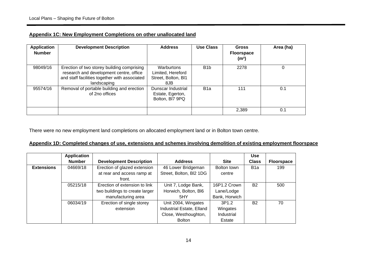| <b>Application</b><br><b>Number</b> | <b>Development Description</b>                                                                                                                        | <b>Address</b>                                                | Use Class        | Gross<br><b>Floorspace</b><br>(m <sup>2</sup> ) | Area (ha) |
|-------------------------------------|-------------------------------------------------------------------------------------------------------------------------------------------------------|---------------------------------------------------------------|------------------|-------------------------------------------------|-----------|
| 98049/16                            | Erection of two storey building comprising<br>research and development centre, office<br>and staff facilities together with associated<br>landscaping | Warburtons<br>Limited, Hereford<br>Street, Bolton, BI1<br>8JB | B <sub>1</sub> b | 2278                                            | 0         |
| 95574/16                            | Removal of portable building and erection<br>of 2no offices                                                                                           | Dunscar Industrial<br>Estate, Egerton,<br>Bolton, BI7 9PQ     | B <sub>1</sub> a | 111                                             | 0.1       |
|                                     |                                                                                                                                                       |                                                               |                  | 2,389                                           | 0.1       |

There were no new employment land completions on allocated employment land or in Bolton town centre.

#### **Appendix 1D: Completed changes of use, extensions and schemes involving demolition of existing employment floorspace**

|                   | <b>Application</b> |                                |                           |               | <b>Use</b>       |                   |
|-------------------|--------------------|--------------------------------|---------------------------|---------------|------------------|-------------------|
|                   | <b>Number</b>      | <b>Development Description</b> | <b>Address</b>            | <b>Site</b>   | <b>Class</b>     | <b>Floorspace</b> |
| <b>Extensions</b> | 04669/18           | Erection of glazed extension   | 46 Lower Bridgeman        | Bolton town   | B <sub>1</sub> a | 199               |
|                   |                    | at rear and access ramp at     | Street, Bolton, BI2 1DG   | centre        |                  |                   |
|                   |                    | front.                         |                           |               |                  |                   |
|                   | 05215/18           | Erection of extension to link  | Unit 7, Lodge Bank,       | 16P1.2 Crown  | <b>B2</b>        | 500               |
|                   |                    | two buildings to create larger | Horwich, Bolton, BI6      | Lane/Lodge    |                  |                   |
|                   |                    | manufacturing area             | 5HY                       | Bank, Horwich |                  |                   |
|                   | 06034/19           | Erection of single storey      | Unit 2004, Wingates       | 3P1.2         | <b>B2</b>        | 70                |
|                   |                    | extension                      | Industrial Estate, Elland | Wingates      |                  |                   |
|                   |                    |                                | Close, Westhoughton,      | Industrial    |                  |                   |
|                   |                    |                                | <b>Bolton</b>             | Estate        |                  |                   |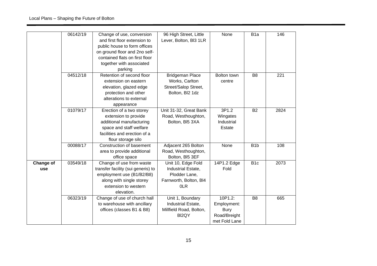|                  | 06142/19 | Change of use, conversion<br>and first floor extension to<br>public house to form offices<br>on ground floor and 2no self-<br>contained flats on first floor<br>together with associated<br>parking | 96 High Street, Little<br>Lever, Bolton, BI3 1LR                                           | None                                                                   | B <sub>1</sub> a | 146  |
|------------------|----------|-----------------------------------------------------------------------------------------------------------------------------------------------------------------------------------------------------|--------------------------------------------------------------------------------------------|------------------------------------------------------------------------|------------------|------|
|                  | 04512/18 | Retention of second floor<br>extension on eastern<br>elevation, glazed edge<br>protection and other<br>alterations to external<br>appearance                                                        | <b>Bridgeman Place</b><br>Works, Carlton<br>Street/Salop Street,<br>Bolton, BI2 1dz        | Bolton town<br>centre                                                  | B <sub>8</sub>   | 221  |
|                  | 01079/17 | Erection of a two storey<br>extension to provide<br>additional manufacturing<br>space and staff welfare<br>facilities and erection of a<br>flour storage silo                                       | Unit 31-32, Great Bank<br>Road, Westhoughton,<br>Bolton, BI5 3XA                           | 3P1.2<br>Wingates<br>Industrial<br>Estate                              | <b>B2</b>        | 2824 |
|                  | 00088/17 | Construction of basement<br>area to provide additional<br>office space                                                                                                                              | Adjacent 265 Bolton<br>Road, Westhoughton,<br>Bolton, BI5 3EF                              | None                                                                   | B <sub>1</sub> b | 108  |
| Change of<br>use | 03549/18 | Change of use from waste<br>transfer facility (sui generis) to<br>employment use (B1/B2/B8)<br>along with single storey<br>extension to western<br>elevation.                                       | Unit 10, Edge Fold<br>Industrial Estate,<br>Plodder Lane,<br>Farnworth, Bolton, BI4<br>0LR | 14P1.2 Edge<br>Fold                                                    | B <sub>1c</sub>  | 2073 |
|                  | 06323/19 | Change of use of church hall<br>to warehouse with ancillary<br>offices (classes B1 & B8)                                                                                                            | Unit 1, Boundary<br>Industrial Estate,<br>Millfield Road, Bolton,<br>BI <sub>2QY</sub>     | 10P1.2:<br>Employment:<br><b>Bury</b><br>Road/Breight<br>met Fold Lane | B <sub>8</sub>   | 665  |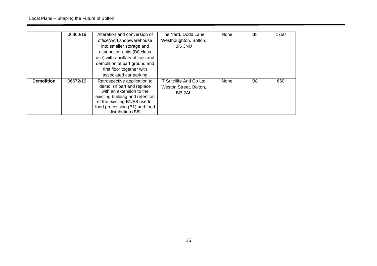|                   | 06860/19 | Alteration and conversion of<br>office/workshop/warehouse<br>into smaller storage and<br>distribution units (B8 class<br>use) with ancillary offices and<br>demolition of part ground and<br>first floor together with<br>associated car parking | The Yard, Dodd Lane,<br>Westhoughton, Bolton,<br>BI5 3NU    | None | B8             | 1750 |
|-------------------|----------|--------------------------------------------------------------------------------------------------------------------------------------------------------------------------------------------------------------------------------------------------|-------------------------------------------------------------|------|----------------|------|
| <b>Demolition</b> | 06672/19 | Retrospective application to<br>demolish part and replace<br>with an extension to the<br>existing building and retention<br>of the existing B1/B8 use for<br>food processing (B1) and food<br>distribution (B8)                                  | T Sutcliffe And Co Ltd<br>Weston Street, Bolton,<br>BI3 2AL | None | B <sub>8</sub> | 660  |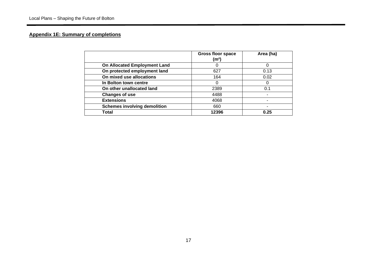# **Appendix 1E: Summary of completions**

|                                     | <b>Gross floor space</b><br>(m <sup>2</sup> ) | Area (ha) |
|-------------------------------------|-----------------------------------------------|-----------|
| <b>On Allocated Employment Land</b> | 0                                             |           |
| On protected employment land        | 627                                           | 0.13      |
| On mixed use allocations            | 164                                           | 0.02      |
| In Bolton town centre               |                                               |           |
| On other unallocated land           | 2389                                          | 0.1       |
| <b>Changes of use</b>               | 4488                                          |           |
| <b>Extensions</b>                   | 4068                                          |           |
| <b>Schemes involving demolition</b> | 660                                           |           |
| Total                               | 12396                                         | 0.25      |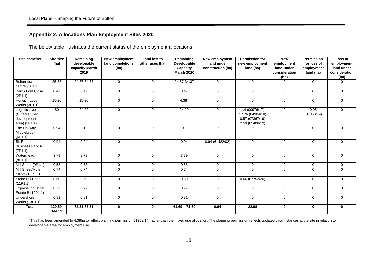#### **Appendix 2: Allocations Plan Employment Sites 2020**

The below table illustrates the current status of the employment allocations.

| Site name/ref                                                     | Site size<br>(ha) | Remaining<br>developable<br>capacity March<br>2019 | New employment<br>land completions<br>(ha) | <b>Land lost to</b><br>other uses (ha) | Remaining<br>Developable<br>Capacity<br><b>March 2020</b> | New employment<br>land under<br>construction (ha) | <b>Permission for</b><br>new employment<br>land (ha)                    | <b>New</b><br>employment<br>land under<br>consideration<br>(ha) | <b>Permission</b><br>for loss of<br>employment<br>land (ha) | Loss of<br>employment<br>land under<br>consideration<br>(ha) |
|-------------------------------------------------------------------|-------------------|----------------------------------------------------|--------------------------------------------|----------------------------------------|-----------------------------------------------------------|---------------------------------------------------|-------------------------------------------------------------------------|-----------------------------------------------------------------|-------------------------------------------------------------|--------------------------------------------------------------|
| Bolton town<br>centre (1P1.1)                                     | 25-35             | 24.37-34.37                                        | $\mathbf 0$                                | $\mathbf 0$                            | 24.37-34.37                                               | $\Omega$                                          | $\mathbf 0$                                                             | $\Omega$                                                        | $\mathbf{0}$                                                | $\Omega$                                                     |
| Barr's Fold Close<br>(2P1.1)                                      | 0.47              | 0.47                                               | $\Omega$                                   | $\mathbf 0$                            | 0.47                                                      | $\Omega$                                          | $\Omega$                                                                | $\Omega$                                                        | $\mathbf 0$                                                 | $\Omega$                                                     |
| Horwich Loco<br>Works (3P1.1)                                     | $15 - 20$         | $15 - 20$                                          | $\mathbf 0$                                | $\mathbf 0$                            | $4.38*$                                                   | $\mathbf 0$                                       | $\mathbf 0$                                                             | $\mathbf 0$                                                     | $\mathbf 0$                                                 | $\mathbf 0$                                                  |
| Logistics North<br>(Cutacre) (net<br>development<br>area) (5P1.1) | $\overline{80}$   | 24.29                                              | $\Omega$                                   | $\mathbf 0$                            | 24.29                                                     | $\Omega$                                          | 1.4(00976/17)<br>17.76 (04904/18)<br>0.57 (07367/19)<br>2.59 (05408/19) | $\Omega$                                                        | 0.95<br>(07368/19)                                          | $\Omega$                                                     |
| The Linkway,<br>Middlebrook<br>(6P1.1)                            | 0.94              | $\mathbf 0$                                        | $\mathbf 0$                                | $\mathbf 0$                            | $\mathbf 0$                                               | $\mathbf 0$                                       | $\mathbf 0$                                                             | $\mathbf 0$                                                     | $\mathbf 0$                                                 | $\mathbf 0$                                                  |
| St. Peter's<br><b>Business Park A</b><br>(7P1.1)                  | 0.94              | 0.94                                               | $\Omega$                                   | $\mathbf 0$                            | 0.94                                                      | 0.94(61422/02)                                    | $\Omega$                                                                | $\Omega$                                                        | $\mathbf 0$                                                 | $\Omega$                                                     |
| Watermead<br>(BP1.1)                                              | 3.79              | 3.79                                               | $\mathbf 0$                                | 0                                      | 3.79                                                      | $\mathbf 0$                                       | $\mathbf 0$                                                             | $\mathbf 0$                                                     | $\mathbf 0$                                                 | $\mathbf 0$                                                  |
| Mill Street (9P1.1)                                               | 0.53              | 0.53                                               | $\mathbf 0$                                | 0                                      | 0.53                                                      | $\mathbf 0$                                       | $\mathbf 0$                                                             | $\mathbf 0$                                                     | $\mathbf 0$                                                 | $\mathbf 0$                                                  |
| Mill Street/Mule<br>Street (10P1.1)                               | 0.74              | 0.74                                               | $\Omega$                                   | $\mathbf 0$                            | 0.74                                                      | $\mathbf 0$                                       | $\mathbf 0$                                                             | $\Omega$                                                        | $\Omega$                                                    | $\mathbf 0$                                                  |
| Stone Hill Road<br>(11P1.1)                                       | 0.60              | 0.60                                               | $\Omega$                                   | $\mathbf 0$                            | 0.60                                                      | $\Omega$                                          | 0.66 (07753/20)                                                         | $\Omega$                                                        | $\Omega$                                                    | $\Omega$                                                     |
| <b>Express Industrial</b><br>Estate B (12P1.1)                    | 0.77              | 0.77                                               | $\Omega$                                   | $\mathbf 0$                            | 0.77                                                      | $\Omega$                                          | $\mathbf 0$                                                             | $\Omega$                                                        | $\mathbf 0$                                                 | $\Omega$                                                     |
| Undershore<br>Works (13P1.1)                                      | 0.81              | 0.81                                               | $\mathbf 0$                                | $\mathbf 0$                            | 0.81                                                      | $\mathbf 0$                                       | $\mathbf 0$                                                             | $\mathbf 0$                                                     | $\mathbf 0$                                                 | $\mathbf 0$                                                  |
| <b>Total</b>                                                      | 129.59-<br>144.59 | 72.31-87.31                                        | $\bf{0}$                                   | $\mathbf 0$                            | $61.69 - 71.69$                                           | 0.94                                              | 22.98                                                                   | $\mathbf 0$                                                     | $\bf{0}$                                                    | $\mathbf 0$                                                  |

\*This has been amended to 4.38ha to reflect planning permission 91352/14, rather than the mixed use allocation. The planning permission reflects updated circumstances at the site in relation to developable area for employment use.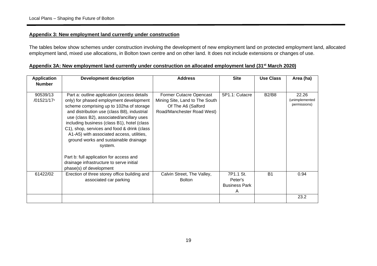# **Appendix 3: New employment land currently under construction**

The tables below show schemes under construction involving the development of new employment land on protected employment land, allocated employment land, mixed use allocations, in Bolton town centre and on other land. It does not include extensions or changes of use.

| <b>Application</b><br><b>Number</b> | <b>Development description</b>                                                                                                                                                                                                                                                                                                                                                                                                | <b>Address</b>                                                                                                | <b>Site</b>                                       | <b>Use Class</b> | Area (ha)                               |
|-------------------------------------|-------------------------------------------------------------------------------------------------------------------------------------------------------------------------------------------------------------------------------------------------------------------------------------------------------------------------------------------------------------------------------------------------------------------------------|---------------------------------------------------------------------------------------------------------------|---------------------------------------------------|------------------|-----------------------------------------|
| 90539/13<br>/01521/17*              | Part a: outline application (access details<br>only) for phased employment development<br>scheme comprising up to 102ha of storage<br>and distribution use (class B8), industrial<br>use (class B2), associated/ancillary uses<br>including business (class B1), hotel (class<br>C1), shop, services and food & drink (class<br>A1-A5) with associated access, utilities,<br>ground works and sustainable drainage<br>system. | Former Cutacre Opencast<br>Mining Site, Land to The South<br>Of The A6 (Salford<br>Road/Manchester Road West) | 5P1.1: Cutacre                                    | <b>B2/B8</b>     | 22.26<br>(unimplemented<br>permissions) |
|                                     | Part b: full application for access and<br>drainage infrastructure to serve initial<br>phase(s) of development                                                                                                                                                                                                                                                                                                                |                                                                                                               |                                                   |                  |                                         |
| 61422/02                            | Erection of three storey office building and<br>associated car parking                                                                                                                                                                                                                                                                                                                                                        | Calvin Street, The Valley,<br><b>Bolton</b>                                                                   | 7P1.1 St.<br>Peter's<br><b>Business Park</b><br>A | <b>B1</b>        | 0.94                                    |
|                                     |                                                                                                                                                                                                                                                                                                                                                                                                                               |                                                                                                               |                                                   |                  | 23.2                                    |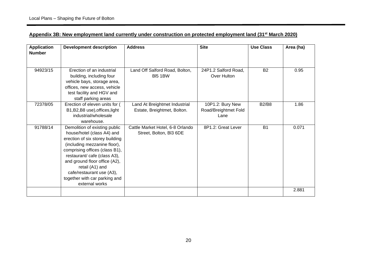| <b>Application</b><br><b>Number</b> | <b>Development description</b>                                                                                                                                                                                                                                                                                                      | <b>Address</b>                                               | <b>Site</b>                                      | <b>Use Class</b> | Area (ha) |
|-------------------------------------|-------------------------------------------------------------------------------------------------------------------------------------------------------------------------------------------------------------------------------------------------------------------------------------------------------------------------------------|--------------------------------------------------------------|--------------------------------------------------|------------------|-----------|
|                                     |                                                                                                                                                                                                                                                                                                                                     |                                                              |                                                  |                  |           |
| 94923/15                            | Erection of an industrial<br>building, including four<br>vehicle bays, storage area,<br>offices, new access, vehicle<br>test facility and HGV and<br>staff parking areas                                                                                                                                                            | Land Off Salford Road, Bolton,<br><b>BI5 1BW</b>             | 24P1.2 Salford Road,<br>Over Hulton              | <b>B2</b>        | 0.95      |
| 72378/05                            | Erection of eleven units for (<br>B1, B2, B8 use), offices, light<br>industrial/wholesale<br>warehouse.                                                                                                                                                                                                                             | Land At Breightmet Industrial<br>Estate, Breightmet, Bolton. | 10P1.2: Bury New<br>Road/Breightmet Fold<br>Lane | <b>B2/B8</b>     | 1.86      |
| 91788/14                            | Demolition of existing public<br>house/hotel (class A4) and<br>erection of six storey building<br>(including mezzanine floor),<br>comprising offices (class B1),<br>restaurant/cafe (class A3),<br>and ground floor office (A2),<br>retail (A1) and<br>cafe/restaurant use (A3),<br>together with car parking and<br>external works | Cattle Market Hotel, 6-8 Orlando<br>Street, Bolton, BI3 6DE  | 8P1.2: Great Lever                               | <b>B1</b>        | 0.071     |
|                                     |                                                                                                                                                                                                                                                                                                                                     |                                                              |                                                  |                  | 2.881     |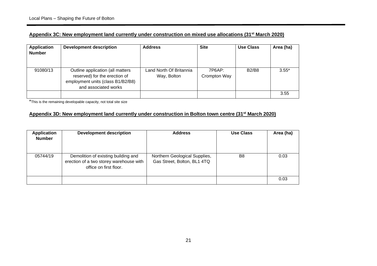| <b>Application</b><br><b>Number</b> | <b>Development description</b>                                                                                                 | <b>Address</b>                         | <b>Site</b>            | <b>Use Class</b> | Area (ha) |
|-------------------------------------|--------------------------------------------------------------------------------------------------------------------------------|----------------------------------------|------------------------|------------------|-----------|
| 91080/13                            | Outline application (all matters<br>reserved) for the erection of<br>employment units (class B1/B2/B8)<br>and associated works | Land North Of Britannia<br>Way, Bolton | 7P6AP:<br>Crompton Way | <b>B2/B8</b>     | $3.55*$   |
|                                     |                                                                                                                                |                                        |                        |                  | 3.55      |

\*This is the remaining developable capacity, not total site size

# **Appendix 3D: New employment land currently under construction in Bolton town centre (31st March 2020)**

| <b>Application</b><br><b>Number</b> | <b>Development description</b>                                                                           | <b>Address</b>                                               | <b>Use Class</b> | Area (ha) |
|-------------------------------------|----------------------------------------------------------------------------------------------------------|--------------------------------------------------------------|------------------|-----------|
| 05744/19                            | Demolition of existing building and<br>erection of a two storey warehouse with<br>office on first floor. | Northern Geological Supplies,<br>Gas Street, Bolton, BL1 4TQ | B8               | 0.03      |
|                                     |                                                                                                          |                                                              |                  | 0.03      |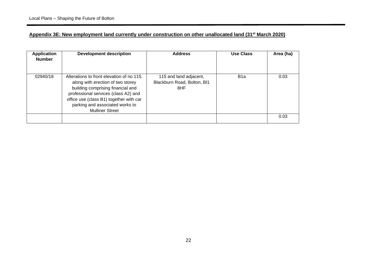# **Appendix 3E: New employment land currently under construction on other unallocated land (31st March 2020)**

| <b>Application</b><br><b>Number</b> | <b>Development description</b>                                                                                                                                                                                                                                      | <b>Address</b>                                               | Use Class        | Area (ha) |
|-------------------------------------|---------------------------------------------------------------------------------------------------------------------------------------------------------------------------------------------------------------------------------------------------------------------|--------------------------------------------------------------|------------------|-----------|
| 02940/18                            | Alterations to front elevation of no 115.<br>along with erection of two storey<br>building comprising financial and<br>professional services (class A2) and<br>office use (class B1) together with car<br>parking and associated works to<br><b>Mulliner Street</b> | 115 and land adjacent,<br>Blackburn Road, Bolton, Bl1<br>8HF | B <sub>1</sub> a | 0.03      |
|                                     |                                                                                                                                                                                                                                                                     |                                                              |                  | 0.03      |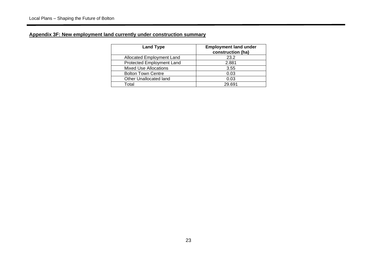# **Appendix 3F: New employment land currently under construction summary**

| <b>Land Type</b>                 | <b>Employment land under</b><br>construction (ha) |
|----------------------------------|---------------------------------------------------|
| <b>Allocated Employment Land</b> | 23.2                                              |
| Protected Employment Land        | 2.881                                             |
| <b>Mixed Use Allocations</b>     | 3.55                                              |
| <b>Bolton Town Centre</b>        | 0.03                                              |
| Other Unallocated land           | 0.03                                              |
| Total                            | 29.691                                            |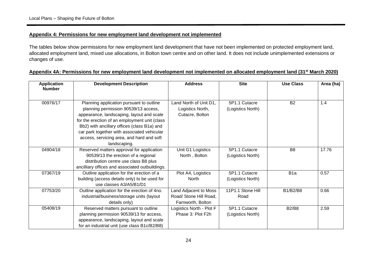# **Appendix 4: Permissions for new employment land development not implemented**

The tables below show permissions for new employment land development that have not been implemented on protected employment land, allocated employment land, mixed use allocations, in Bolton town centre and on other land. It does not include unimplemented extensions or changes of use.

| Appendix 4A: Permissions for new employment land development not implemented on allocated employment land (31 <sup>st</sup> March 2020) |
|-----------------------------------------------------------------------------------------------------------------------------------------|
|-----------------------------------------------------------------------------------------------------------------------------------------|

| <b>Application</b><br><b>Number</b> | <b>Development Description</b>                                                                                                                                                                                                                                                                                                            | <b>Address</b>                                                       | <b>Site</b>                        | <b>Use Class</b> | Area (ha) |
|-------------------------------------|-------------------------------------------------------------------------------------------------------------------------------------------------------------------------------------------------------------------------------------------------------------------------------------------------------------------------------------------|----------------------------------------------------------------------|------------------------------------|------------------|-----------|
| 00976/17                            | Planning application pursuant to outline<br>planning permission 90539/13 access,<br>appearance, landscaping, layout and scale<br>for the erection of an employment unit (class<br>Bb2) with ancillary offices (class B1a) and<br>car park together with associated vehicular<br>access, servicing area, and hard and soft<br>landscaping. | Land North of Unit D1,<br>Logistics North,<br>Cutacre, Bolton        | 5P1.1 Cutacre<br>(Logistics North) | <b>B2</b>        | 1.4       |
| 04904/18                            | Reserved matters approval for application<br>90539/13 the erection of a regional<br>distribution centre use class B8 plus<br>ancilliary offices and associated outbuildings.                                                                                                                                                              | Unit G1 Logistics<br>North, Bolton                                   | 5P1.1 Cutacre<br>(Logistics North) | B <sub>8</sub>   | 17.76     |
| 07367/19                            | Outline application for the erection of a<br>building (access details only) to be used for<br>use classes A3/A5/B1/D1                                                                                                                                                                                                                     | Plot A4, Logistics<br><b>North</b>                                   | 5P1.1 Cutacre<br>(Logistics North) | B <sub>1</sub> a | 0.57      |
| 07753/20                            | Outline application for the erection of 4no.<br>industrial/business/storage units (layout<br>details only)                                                                                                                                                                                                                                | Land Adjacent to Moss<br>Road/ Stone Hill Road,<br>Farnworth, Bolton | 11P1.1 Stone Hill<br>Road          | B1/B2/B8         | 0.66      |
| 05408/19                            | Reserved matters pursuant to outline<br>planning permission 90539/13 for access,<br>appearance, landscaping, layout and scale<br>for an industrial unit (use class B1c/B2/B8)                                                                                                                                                             | Logistics North - Plot F<br>Phase 3: Plot F2h                        | 5P1.1 Cutacre<br>(Logistics North) | <b>B2/B8</b>     | 2.59      |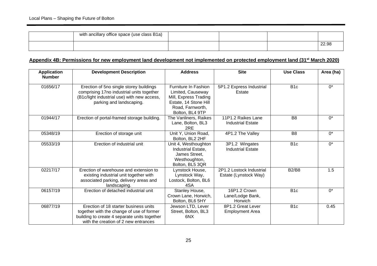| with ancillary office space (use class B1a) |  |       |
|---------------------------------------------|--|-------|
|                                             |  | 22.98 |

# **Appendix 4B: Permissions for new employment land development not implemented on protected employment land (31st March 2020)**

| <b>Application</b><br><b>Number</b> | <b>Development Description</b>                                                                                                                                             | <b>Address</b>                                                                                                                     | <b>Site</b>                                       | <b>Use Class</b> | Area (ha) |
|-------------------------------------|----------------------------------------------------------------------------------------------------------------------------------------------------------------------------|------------------------------------------------------------------------------------------------------------------------------------|---------------------------------------------------|------------------|-----------|
| 01656/17                            | Erection of 5no single storey buildings<br>comprising 17no industrial units together<br>(B1c/light industrial use) with new access,<br>parking and landscaping.            | Furniture In Fashion<br>Limited, Causeway<br>Mill, Express Trading<br>Estate, 14 Stone Hill<br>Road, Farnworth,<br>Bolton, BL4 9TP | 5P1.2 Express Industrial<br>Estate                | B <sub>1c</sub>  | $0^*$     |
| 01944/17                            | Erection of portal-framed storage building.                                                                                                                                | The Vanliners, Raikes<br>Lane, Bolton, BL3<br>2RE                                                                                  | 11P1.2 Raikes Lane<br><b>Industrial Estate</b>    | B <sub>8</sub>   | $0^*$     |
| 05348/19                            | Erection of storage unit                                                                                                                                                   | Unit Y, Union Road,<br>Bolton, BL2 2HF                                                                                             | 4P1.2 The Valley                                  | B <sub>8</sub>   | $0^*$     |
| 05533/19                            | Erection of industrial unit                                                                                                                                                | Unit 4, Westhoughton<br>Industrial Estate,<br>James Street,<br>Westhoughton,<br>Bolton, BL5 3QR                                    | 3P1.2 Wingates<br><b>Industrial Estate</b>        | B <sub>1c</sub>  | $0^*$     |
| 02217/17                            | Erection of warehouse and extension to<br>existing industrial unit together with<br>associated parking, delivery areas and<br>landscaping.                                 | Lynstock House,<br>Lynstock Way,<br>Lostock, Bolton, BL6<br>4SA                                                                    | 2P1.2 Lostock Industrial<br>Estate (Lynstock Way) | <b>B2/B8</b>     | 1.5       |
| 06157/19                            | Erection of detached industrial unit                                                                                                                                       | Stanley House,<br>Crown Lane, Horwich,<br>Bolton, BL6 5HY                                                                          | 16P1.2 Crown<br>Lane/Lodge Bank,<br>Horwich       | B <sub>1c</sub>  | $0^*$     |
| 06877/19                            | Erection of 18 starter business units<br>together with the change of use of former<br>building to create 4 separate units together<br>with the creation of 2 new entrances | Jewson LTD, Lever<br>Street, Bolton, BL3<br>6NX                                                                                    | 8P1.2 Great Lever<br><b>Employment Area</b>       | B <sub>1c</sub>  | 0.45      |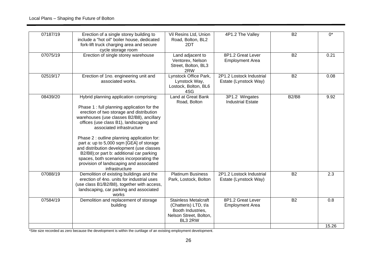| 07187/19 | Erection of a single storey building to<br>include a "hot oil" boiler house, dedicated<br>fork-lift truck charging area and secure<br>cycle storage room                                                                                                                                                                                                                                                                                                                                                                                             | Vil Resins Ltd, Union<br>Road, Bolton, BL2<br>2DT                                                             | 4P1.2 The Valley                                  | $\overline{B2}$ | $\overline{0^*}$ |
|----------|------------------------------------------------------------------------------------------------------------------------------------------------------------------------------------------------------------------------------------------------------------------------------------------------------------------------------------------------------------------------------------------------------------------------------------------------------------------------------------------------------------------------------------------------------|---------------------------------------------------------------------------------------------------------------|---------------------------------------------------|-----------------|------------------|
| 07075/19 | Erection of single storey warehouse                                                                                                                                                                                                                                                                                                                                                                                                                                                                                                                  | Land adjacent to<br>Ventorex, Nelson<br>Street, Bolton, BL3<br>2RW                                            | 8P1.2 Great Lever<br><b>Employment Area</b>       | $\overline{B2}$ | 0.21             |
| 02519/17 | Erection of 1no. engineering unit and<br>associated works.                                                                                                                                                                                                                                                                                                                                                                                                                                                                                           | Lynstock Office Park,<br>Lynstock Way,<br>Lostock, Bolton, BL6<br>4SG                                         | 2P1.2 Lostock Industrial<br>Estate (Lynstock Way) | <b>B2</b>       | 0.08             |
| 08439/20 | Hybrid planning application comprising:<br>Phase 1: full planning application for the<br>erection of two storage and distribution<br>warehouses (use classes B2/B8), ancillary<br>offices (use class B1), landscaping and<br>associated infrastructure<br>Phase 2 : outline planning application for:<br>part a: up to 5,000 sqm [GEA] of storage<br>and distribution development (use classes<br>B2/B8); or part b: additional car parking<br>spaces, both scenarios incorporating the<br>provision of landscaping and associated<br>infrastructure | Land at Great Bank<br>Road, Bolton                                                                            | 3P1.2 Wingates<br><b>Industrial Estate</b>        | <b>B2/B8</b>    | 9.92             |
| 07088/19 | Demolition of existing buildings and the<br>erection of 4no. units for industrial uses<br>(use class B1/B2/B8), together with access,<br>landscaping, car parking and associated<br>works                                                                                                                                                                                                                                                                                                                                                            | <b>Platinum Business</b><br>Park, Lostock, Bolton                                                             | 2P1.2 Lostock Industrial<br>Estate (Lynstock Way) | <b>B2</b>       | 2.3              |
| 07584/19 | Demolition and replacement of storage<br>building                                                                                                                                                                                                                                                                                                                                                                                                                                                                                                    | <b>Stainless Metalcraft</b><br>(Chatteris) LTD, t/a<br>Booth Industries,<br>Nelson Street, Bolton,<br>BL3 2RW | 8P1.2 Great Lever<br><b>Employment Area</b>       | <b>B2</b>       | 0.8              |
|          |                                                                                                                                                                                                                                                                                                                                                                                                                                                                                                                                                      |                                                                                                               |                                                   |                 | 15.26            |

\*Site size recorded as zero because the development is within the curtilage of an existing employment development.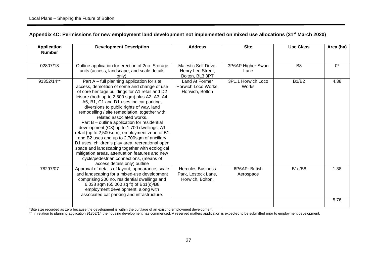| <b>Application</b><br><b>Number</b> | <b>Development Description</b>                                                                                                                                                                                                                                                                                                                                                                                                                                                                                                                                                                                                                                                                                                                                                                           | <b>Address</b>                                                      | <b>Site</b>                 | <b>Use Class</b> | Area (ha) |
|-------------------------------------|----------------------------------------------------------------------------------------------------------------------------------------------------------------------------------------------------------------------------------------------------------------------------------------------------------------------------------------------------------------------------------------------------------------------------------------------------------------------------------------------------------------------------------------------------------------------------------------------------------------------------------------------------------------------------------------------------------------------------------------------------------------------------------------------------------|---------------------------------------------------------------------|-----------------------------|------------------|-----------|
|                                     |                                                                                                                                                                                                                                                                                                                                                                                                                                                                                                                                                                                                                                                                                                                                                                                                          |                                                                     |                             |                  |           |
| 02807/18                            | Outline application for erection of 2no. Storage<br>units (access, landscape, and scale details<br>only)                                                                                                                                                                                                                                                                                                                                                                                                                                                                                                                                                                                                                                                                                                 | Majestic Self Drive,<br>Henry Lee Street,<br>Bolton, BL3 3PT        | 3P6AP Higher Swan<br>Lane   | B <sub>8</sub>   | $0^*$     |
| 91352/14**                          | Part A - full planning application for site<br>access, demolition of some and change of use<br>of core heritage buildings for A1 retail and D2<br>leisure (both up to 2,500 sqm) plus A2, A3, A4,<br>A5, B1, C1 and D1 uses inc car parking,<br>diversions to public rights of way, land<br>remodelling / site remediation, together with<br>related associated works.<br>Part B - outline application for residential<br>development (C3) up to 1,700 dwellings, A1<br>retail (up to 2,500sqm), employment zone of B1<br>and B2 uses and up to 2,700sqm of ancillary<br>D1 uses, children's play area, recreational open<br>space and landscaping together with ecological<br>mitigation areas, attenuation features and new<br>cycle/pedestrian connections, (means of<br>access details only) outline | Land At Former<br>Horwich Loco Works,<br>Horwich, Bolton            | 3P1.1 Horwich Loco<br>Works | <b>B1/B2</b>     | 4.38      |
| 78297/07                            | Approval of details of layout, appearance, scale<br>and landscaping for a mixed-use development<br>comprising 200 no. residential dwellings and<br>6,038 sqm (65,000 sq ft) of Bb1(c)/B8<br>employment development, along with<br>associated car parking and infrastructure.                                                                                                                                                                                                                                                                                                                                                                                                                                                                                                                             | <b>Hercules Business</b><br>Park, Lostock Lane,<br>Horwich, Bolton. | 6P6AP: British<br>Aerospace | B1c/B8           | 1.38      |
|                                     |                                                                                                                                                                                                                                                                                                                                                                                                                                                                                                                                                                                                                                                                                                                                                                                                          |                                                                     |                             |                  | 5.76      |

\*Site size recorded as zero because the development is within the curtilage of an existing employment development.

\*\* In relation to planning application 91352/14 the housing development has commenced. A reserved matters application is expected to be submitted prior to employment development.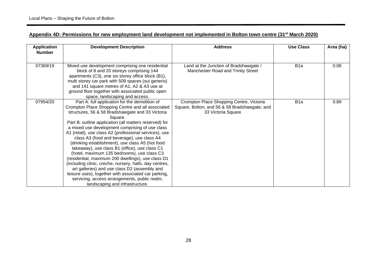# **Appendix 4D: Permissions for new employment land development not implemented in Bolton town centre (31st March 2020)**

| <b>Application</b><br><b>Number</b> | <b>Development Description</b>                                                                                                                                                                                                                                                                                                                                                                                                                                                                                                                                                                                                                                                                                                                                                                                                                             | <b>Address</b>                                                                                                  | <b>Use Class</b> | Area (ha) |
|-------------------------------------|------------------------------------------------------------------------------------------------------------------------------------------------------------------------------------------------------------------------------------------------------------------------------------------------------------------------------------------------------------------------------------------------------------------------------------------------------------------------------------------------------------------------------------------------------------------------------------------------------------------------------------------------------------------------------------------------------------------------------------------------------------------------------------------------------------------------------------------------------------|-----------------------------------------------------------------------------------------------------------------|------------------|-----------|
| 07369/19                            | Mixed use development comprising one residential<br>block of 8 and 20 storeys comprising 144<br>apartments (C3), one six storey office block (B1),<br>multi storey car park with 509 spaces (sui generis)<br>and 141 square metres of A1, A2 & A3 use at<br>ground floor together with associated public open<br>space, landscaping and access.                                                                                                                                                                                                                                                                                                                                                                                                                                                                                                            | Land at the Junction of Bradshawgate /<br>Manchester Road and Trinity Street                                    | B <sub>1</sub> a | 0.08      |
| 07954/20                            | Part A: full application for the demolition of<br>Crompton Place Shopping Centre and all associated<br>structures, 56 & 58 Bradshawgate and 33 Victoria<br>Square.<br>Part B: outline application (all matters reserved) for<br>a mixed use development comprising of use class<br>A1 (retail), use class A2 (professional services), use<br>class A3 (food and beverage), use class A4<br>(drinking establishment), use class A5 (hot food<br>takeaway), use class B1 (office), use class C1<br>(hotel, maximum 135 bedrooms), use class C3<br>(residential, maximum 200 dwellings), use class D1<br>(including clinic, creche, nursery, halls, day centres,<br>art galleries) and use class D2 (assembly and<br>leisure uses), together with associated car parking,<br>servicing, access arrangements, public realm,<br>landscaping and infrastructure. | Crompton Place Shopping Centre, Victoria<br>Square, Bolton; and 56 & 58 Bradshawgate; and<br>33 Victoria Square | B <sub>1</sub> a | 0.89      |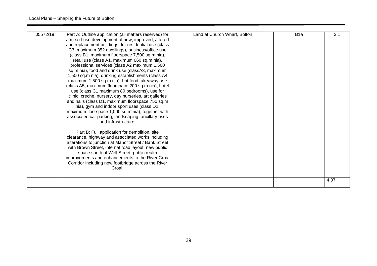| 05572/19 | Part A: Outline application (all matters reserved) for<br>a mixed-use development of new, improved, altered<br>and replacement buildings, for residential use (class<br>C3, maximum 352 dwellings), business/office use<br>(class B1, maximum floorspace 7,500 sq.m nia),<br>retail use (class A1, maximum 660 sq.m nia),<br>professional services (class A2 maximum 1,500<br>sq.m nia), food and drink use (classA3, maximum<br>1,500 sq.m nia), drinking establishments (class A4<br>maximum 1,500 sq.m nia), hot food takeaway use<br>(class A5, maximum floorspace 200 sq.m nia), hotel<br>use (class C1 maximum 80 bedrooms), use for<br>clinic, creche, nursery, day nurseries, art galleries<br>and halls (class D1, maximum floorspace 750 sq.m<br>nia), gym and indoor sport uses (class D2,<br>maximum floorspace 1,000 sq.m nia), together with<br>associated car parking, landscaping, ancillary uses<br>and infrastructure.<br>Part B: Full application for demolition, site<br>clearance, highway and associated works including<br>alterations to junction at Manor Street / Bank Street<br>with Brown Street, internal road layout, new public<br>space south of Well Street, public realm<br>improvements and enhancements to the River Croal<br>Corridor including new footbridge across the River<br>Croal. | Land at Church Wharf, Bolton | B <sub>1a</sub> | 3.1<br>4.07 |
|----------|--------------------------------------------------------------------------------------------------------------------------------------------------------------------------------------------------------------------------------------------------------------------------------------------------------------------------------------------------------------------------------------------------------------------------------------------------------------------------------------------------------------------------------------------------------------------------------------------------------------------------------------------------------------------------------------------------------------------------------------------------------------------------------------------------------------------------------------------------------------------------------------------------------------------------------------------------------------------------------------------------------------------------------------------------------------------------------------------------------------------------------------------------------------------------------------------------------------------------------------------------------------------------------------------------------------------------------|------------------------------|-----------------|-------------|
|          |                                                                                                                                                                                                                                                                                                                                                                                                                                                                                                                                                                                                                                                                                                                                                                                                                                                                                                                                                                                                                                                                                                                                                                                                                                                                                                                                |                              |                 |             |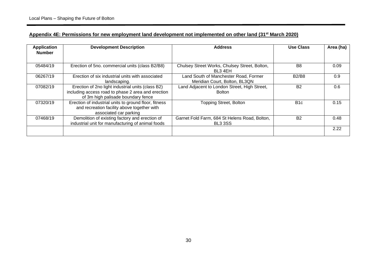# **Appendix 4E: Permissions for new employment land development not implemented on other land (31st March 2020)**

| Application<br><b>Number</b> | <b>Development Description</b>                                                                                                                | <b>Address</b>                                                         | <b>Use Class</b> | Area (ha) |
|------------------------------|-----------------------------------------------------------------------------------------------------------------------------------------------|------------------------------------------------------------------------|------------------|-----------|
| 05484/19                     | Erection of 5no. commercial units (class B2/B8)                                                                                               | Chulsey Street Works, Chulsey Street, Bolton,<br>BL3 4EH               | B <sub>8</sub>   | 0.09      |
| 06267/19                     | Erection of six industrial units with associated<br>landscaping.                                                                              | Land South of Manchester Road, Former<br>Meridian Court, Bolton, BL3QN | <b>B2/B8</b>     | 0.9       |
| 07082/19                     | Erection of 2no light industrial units (class B2)<br>including access road to phase 2 area and erection<br>of 3m high palisade boundary fence | Land Adjacent to London Street, High Street,<br><b>Bolton</b>          | <b>B2</b>        | 0.6       |
| 07320/19                     | Erection of industrial units to ground floor, fitness<br>and recreation facility above together with<br>associated car parking                | <b>Topping Street, Bolton</b>                                          |                  | 0.15      |
| 07468/19                     | Demolition of existing factory and erection of<br>industrial unit for manufacturing of animal foods                                           | Garnet Fold Farm, 684 St Helens Road, Bolton,<br>BL3 3SS               | <b>B2</b>        | 0.48      |
|                              |                                                                                                                                               |                                                                        |                  | 2.22      |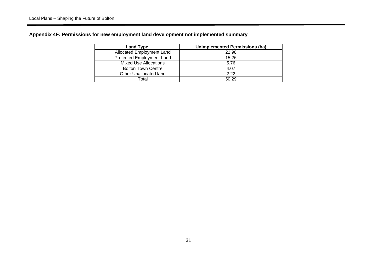# **Appendix 4F: Permissions for new employment land development not implemented summary**

| <b>Land Type</b>                 | <b>Unimplemented Permissions (ha)</b> |
|----------------------------------|---------------------------------------|
| <b>Allocated Employment Land</b> | 22.98                                 |
| Protected Employment Land        | 15.26                                 |
| <b>Mixed Use Allocations</b>     | 5.76                                  |
| <b>Bolton Town Centre</b>        | 4.07                                  |
| Other Unallocated land           | 2.22                                  |
| Total                            | 50.29                                 |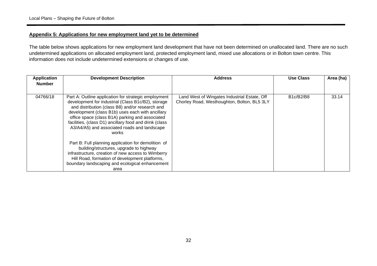#### **Appendix 5: Applications for new employment land yet to be determined**

The table below shows applications for new employment land development that have not been determined on unallocated land. There are no such undetermined applications on allocated employment land, protected employment land, mixed use allocations or in Bolton town centre. This information does not include undetermined extensions or changes of use.

| <b>Application</b> | <b>Development Description</b>                                                                                                                                                                                                                                                                                                                                                          | <b>Address</b>                                                                              | <b>Use Class</b> | Area (ha) |
|--------------------|-----------------------------------------------------------------------------------------------------------------------------------------------------------------------------------------------------------------------------------------------------------------------------------------------------------------------------------------------------------------------------------------|---------------------------------------------------------------------------------------------|------------------|-----------|
| <b>Number</b>      |                                                                                                                                                                                                                                                                                                                                                                                         |                                                                                             |                  |           |
| 04766/18           | Part A: Outline application for strategic employment<br>development for industrial (Class B1c/B2), storage<br>and distribution (class B8) and/or research and<br>development (class B1b) uses each with ancillary<br>office space (class B1A) parking and associated<br>facilities, (class D1) ancillary food and drink (class<br>A3/A4/A5) and associated roads and landscape<br>works | Land West of Wingates Industrial Estate, Off<br>Chorley Road, Westhoughton, Bolton, BL5 3LY | B1c/B2/B8        | 33.14     |
|                    | Part B: Full planning application for demolition of<br>building/structures, upgrade to highway<br>infrastructure, creation of new access to Wimberry<br>Hill Road, formation of development platforms,<br>boundary landscaping and ecological enhancement<br>area                                                                                                                       |                                                                                             |                  |           |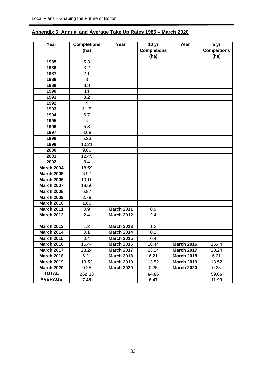# **Appendix 6: Annual and Average Take Up Rates 1985 – March 2020**

| Year              | <b>Completions</b> | Year              | 10 <sub>yr</sub>   | Year              | 5 yr               |
|-------------------|--------------------|-------------------|--------------------|-------------------|--------------------|
|                   | (ha)               |                   | <b>Completions</b> |                   | <b>Completions</b> |
|                   |                    |                   | (ha)               |                   | (ha)               |
| 1985              | 5.3                |                   |                    |                   |                    |
| 1986              | 3.2                |                   |                    |                   |                    |
| 1987              | 2.1                |                   |                    |                   |                    |
| 1988              | $\overline{3}$     |                   |                    |                   |                    |
| 1989              | 8.8                |                   |                    |                   |                    |
| 1990              | 14                 |                   |                    |                   |                    |
| 1991              | 8.2                |                   |                    |                   |                    |
| 1992              | 4                  |                   |                    |                   |                    |
| 1993              | 11.5               |                   |                    |                   |                    |
| 1994              | 6.7                |                   |                    |                   |                    |
| 1995              | 4                  |                   |                    |                   |                    |
| 1996              | 5.8                |                   |                    |                   |                    |
| 1997              | 8.68               |                   |                    |                   |                    |
| 1998              | 5.23               |                   |                    |                   |                    |
| 1999              | 10.21              |                   |                    |                   |                    |
| 2000              | 9.86               |                   |                    |                   |                    |
| 2001              | 12.45              |                   |                    |                   |                    |
| 2002              | 8.4                |                   |                    |                   |                    |
| <b>March 2004</b> | 18.59              |                   |                    |                   |                    |
| <b>March 2005</b> | 6.97               |                   |                    |                   |                    |
| <b>March 2006</b> | 10.10              |                   |                    |                   |                    |
| <b>March 2007</b> | 18.56              |                   |                    |                   |                    |
| <b>March 2008</b> | 6.97               |                   |                    |                   |                    |
| <b>March 2009</b> | 3.79               |                   |                    |                   |                    |
| <b>March 2010</b> | 1.06               |                   |                    |                   |                    |
| March 2011        | 0.9                | <b>March 2011</b> | 0.9                |                   |                    |
| <b>March 2012</b> | 2.4                | March 2012        | 2.4                |                   |                    |
|                   |                    |                   |                    |                   |                    |
| <b>March 2013</b> | 1.2                | <b>March 2013</b> | 1.2                |                   |                    |
| <b>March 2014</b> | 0.1                | <b>March 2014</b> | 0.1                |                   |                    |
| <b>March 2015</b> | 0.4                | <b>March 2015</b> | 0.4                |                   |                    |
| <b>March 2016</b> | 16.44              | <b>March 2016</b> | 16.44              | <b>March 2016</b> | 16.44              |
| <b>March 2017</b> | 23.24              | <b>March 2017</b> | 23.24              | <b>March 2017</b> | 23.24              |
| <b>March 2018</b> | 6.21               | <b>March 2018</b> | 6.21               | <b>March 2018</b> | 6.21               |
| <b>March 2019</b> | 13.52              | <b>March 2019</b> | 13.52              | <b>March 2019</b> | 13.52              |
| <b>March 2020</b> | 0.25               | <b>March 2020</b> | 0.25               | <b>March 2020</b> | 0.25               |
| <b>TOTAL</b>      | 262.13             |                   | 64.66              |                   | 59.66              |
| <b>AVERAGE</b>    | 7.49               |                   | 6.47               |                   | 11.93              |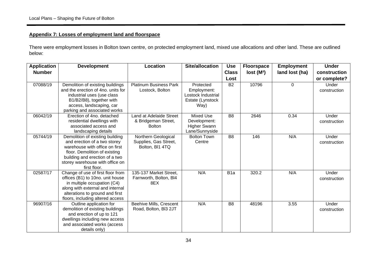# **Appendix 7: Losses of employment land and floorspace**

There were employment losses in Bolton town centre, on protected employment land, mixed use allocations and other land. These are outlined below:

| <b>Application</b> | <b>Development</b>                                                                                                                                                                                                      | Location                                                        | Site/allocation                                                            | <b>Use</b>       | <b>Floorspace</b>     | <b>Employment</b> | <b>Under</b>          |
|--------------------|-------------------------------------------------------------------------------------------------------------------------------------------------------------------------------------------------------------------------|-----------------------------------------------------------------|----------------------------------------------------------------------------|------------------|-----------------------|-------------------|-----------------------|
| <b>Number</b>      |                                                                                                                                                                                                                         |                                                                 |                                                                            | <b>Class</b>     | lost(M <sup>2</sup> ) | land lost (ha)    | construction          |
|                    |                                                                                                                                                                                                                         |                                                                 |                                                                            | Lost             |                       |                   | or complete?          |
| 07088/19           | Demolition of existing buildings<br>and the erection of 4no. units for<br>industrial uses (use class<br>B1/B2/B8), together with<br>access, landscaping, car<br>parking and associated works                            | <b>Platinum Business Park</b><br>Lostock, Bolton                | Protected<br>Employment:<br>Lostock Industrial<br>Estate (Lynstock<br>Way) | <b>B2</b>        | 10796                 | 0                 | Under<br>construction |
| 06042/19           | Erection of 4no. detached<br>residential dwellings with<br>associated access and<br>landscaping details                                                                                                                 | Land at Adelaide Street<br>& Bridgeman Street,<br><b>Bolton</b> | <b>Mixed Use</b><br>Development:<br><b>Higher Swann</b><br>Lane/Sunnyside  | B <sub>8</sub>   | 2646                  | 0.34              | Under<br>construction |
| 05744/19           | Demolition of existing building<br>and erection of a two storey<br>warehouse with office on first<br>floor. Demolition of existing<br>building and erection of a two<br>storey warehouse with office on<br>first floor. | Northern Geological<br>Supplies, Gas Street,<br>Bolton, BI1 4TQ | <b>Bolton Town</b><br>Centre                                               | B <sub>8</sub>   | 146                   | N/A               | Under<br>construction |
| 02587/17           | Change of use of first floor from<br>offices (B1) to 10no. unit house<br>in multiple occupation (C4)<br>along with external and internal<br>alterations to ground and first<br>floors, including altered access         | 135-137 Market Street,<br>Farnworth, Bolton, BI4<br>8EX         | N/A                                                                        | B <sub>1</sub> a | 320.2                 | N/A               | Under<br>construction |
| 96907/16           | Outline application for<br>demolition of existing buildings<br>and erection of up to 121<br>dwellings including new access<br>and associated works (access<br>details only)                                             | Beehive Mills, Crescent<br>Road, Bolton, BI3 2JT                | N/A                                                                        | B <sub>8</sub>   | 48196                 | 3.55              | Under<br>construction |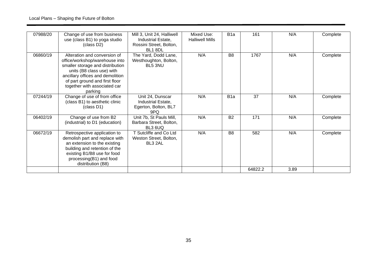| 07988/20 | Change of use from business      | Mill 3, Unit 24, Halliwell | Mixed Use:             | B <sub>1</sub> a | 161     | N/A  | Complete |
|----------|----------------------------------|----------------------------|------------------------|------------------|---------|------|----------|
|          | use (class B1) to yoga studio    | Industrial Estate,         | <b>Halliwell Mills</b> |                  |         |      |          |
|          | (class D2)                       | Rossini Street, Bolton,    |                        |                  |         |      |          |
|          |                                  | BL1 8DL                    |                        |                  |         |      |          |
| 06860/19 | Alteration and conversion of     | The Yard, Dodd Lane,       | N/A                    | B <sub>8</sub>   | 1767    | N/A  | Complete |
|          | office/workshop/warehouse into   | Westhoughton, Bolton,      |                        |                  |         |      |          |
|          | smaller storage and distribution | BL5 3NU                    |                        |                  |         |      |          |
|          | units (B8 class use) with        |                            |                        |                  |         |      |          |
|          | ancillary offices and demolition |                            |                        |                  |         |      |          |
|          | of part ground and first floor   |                            |                        |                  |         |      |          |
|          | together with associated car     |                            |                        |                  |         |      |          |
|          | parking                          |                            |                        |                  |         |      |          |
| 07244/19 | Change of use of from office     | Unit 24, Dunscar           | N/A                    | B <sub>1</sub> a | 37      | N/A  | Complete |
|          | (class B1) to aesthetic clinic   | Industrial Estate,         |                        |                  |         |      |          |
|          | (class D1)                       | Egerton, Bolton, BL7       |                        |                  |         |      |          |
|          |                                  | 9PQ                        |                        |                  |         |      |          |
| 06402/19 | Change of use from B2            | Unit 7b, St Pauls Mill,    | N/A                    | <b>B2</b>        | 171     | N/A  | Complete |
|          | (industrial) to D1 (education)   | Barbara Street, Bolton,    |                        |                  |         |      |          |
|          |                                  | BL3 6UQ                    |                        |                  |         |      |          |
| 06672/19 | Retrospective application to     | T Sutcliffe and Co Ltd     | N/A                    | B <sub>8</sub>   | 582     | N/A  | Complete |
|          | demolish part and replace with   | Weston Street, Bolton,     |                        |                  |         |      |          |
|          | an extension to the existing     | BL3 2AL                    |                        |                  |         |      |          |
|          | building and retention of the    |                            |                        |                  |         |      |          |
|          | existing B1/B8 use for food      |                            |                        |                  |         |      |          |
|          | processing(B1) and food          |                            |                        |                  |         |      |          |
|          | distribution (B8)                |                            |                        |                  |         |      |          |
|          |                                  |                            |                        |                  | 64822.2 | 3.89 |          |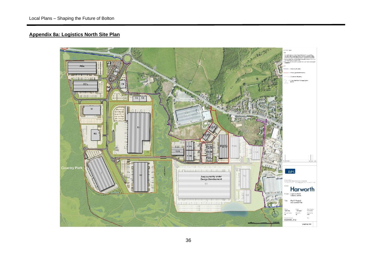# **Appendix 8a: Logistics North Site Plan**

![](_page_35_Picture_2.jpeg)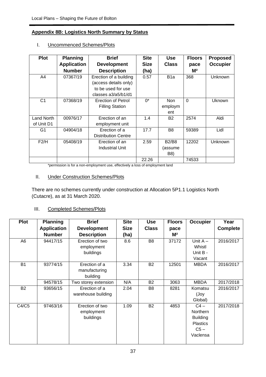#### **Appendix 8B: Logistics North Summary by Status**

| <b>Plot</b>       | <b>Planning</b>    | <b>Brief</b>               | <b>Site</b> | <b>Use</b>       | <b>Floors</b>  | <b>Proposed</b> |
|-------------------|--------------------|----------------------------|-------------|------------------|----------------|-----------------|
|                   | <b>Application</b> | <b>Development</b>         | <b>Size</b> | <b>Class</b>     | pace           | <b>Occupier</b> |
|                   | <b>Number</b>      | <b>Description</b>         | (ha)        |                  | M <sup>2</sup> |                 |
| A4                | 07367/19           | Erection of a building     | 0.57        | B <sub>1</sub> a | 368            | Unknown         |
|                   |                    | (access details only)      |             |                  |                |                 |
|                   |                    | to be used for use         |             |                  |                |                 |
|                   |                    | classes $a3/a5/b1/d1$      |             |                  |                |                 |
| C <sub>1</sub>    | 07368/19           | Erection of Petrol         | $0^*$       | <b>Non</b>       | $\Omega$       | Uknown          |
|                   |                    | <b>Filling Station</b>     |             | employm          |                |                 |
|                   |                    |                            |             | ent              |                |                 |
| <b>Land North</b> | 00976/17           | Erection of an             | 1.4         | <b>B2</b>        | 2574           | Aldi            |
| of Unit D1        |                    | employment unit            |             |                  |                |                 |
| G <sub>1</sub>    | 04904/18           | Erection of a              | 17.7        | B <sub>8</sub>   | 59389          | Lidl            |
|                   |                    | <b>Distribution Centre</b> |             |                  |                |                 |
| F2/H              | 05408/19           | Erection of an             | 2.59        | <b>B2/B8</b>     | 12202          | Unknown         |
|                   |                    | Industrial Unit            |             | (assume          |                |                 |
|                   |                    |                            |             | B8)              |                |                 |
|                   |                    |                            | 22.26       |                  | 74533          |                 |

#### I. Uncommenced Schemes/Plots

\*permission is for a non-employment use, effectively a loss of employment land

#### II. Under Construction Schemes/Plots

There are no schemes currently under construction at Allocation 5P1.1 Logistics North (Cutacre), as at 31 March 2020.

#### III. Completed Schemes/Plots

| <b>Plot</b>    | <b>Planning</b>    | <b>Brief</b>                               | <b>Site</b> | <b>Use</b>     | <b>Floors</b>  | <b>Occupier</b>                                                                | Year            |
|----------------|--------------------|--------------------------------------------|-------------|----------------|----------------|--------------------------------------------------------------------------------|-----------------|
|                | <b>Application</b> | <b>Development</b>                         | <b>Size</b> | <b>Class</b>   | pace           |                                                                                | <b>Complete</b> |
|                | <b>Number</b>      | <b>Description</b>                         | (ha)        |                | M <sup>2</sup> |                                                                                |                 |
| A <sub>6</sub> | 94417/15           | Erection of two<br>employment<br>buildings | 8.6         | B <sub>8</sub> | 37172          | Unit $A -$<br>Whistl<br>Unit B -<br>Vacant                                     | 2016/2017       |
| <b>B1</b>      | 93774/15           | Erection of a<br>manufacturing<br>building | 3.34        | <b>B2</b>      | 12501          | <b>MBDA</b>                                                                    | 2016/2017       |
|                | 94578/15           | Two storey extension                       | N/A         | <b>B2</b>      | 3063           | <b>MBDA</b>                                                                    | 2017/2018       |
| <b>B2</b>      | 93656/15           | Erection of a<br>warehouse building        | 2.04        | B <sub>8</sub> | 8281           | Komatsu<br>(Joy<br>Global)                                                     | 2016/2017       |
| C4/C5          | 97463/16           | Erection of two<br>employment<br>buildings | 1.09        | <b>B2</b>      | 4853           | $C4 -$<br>Northern<br><b>Building</b><br><b>Plastics</b><br>$C5 -$<br>Vaclensa | 2017/2018       |